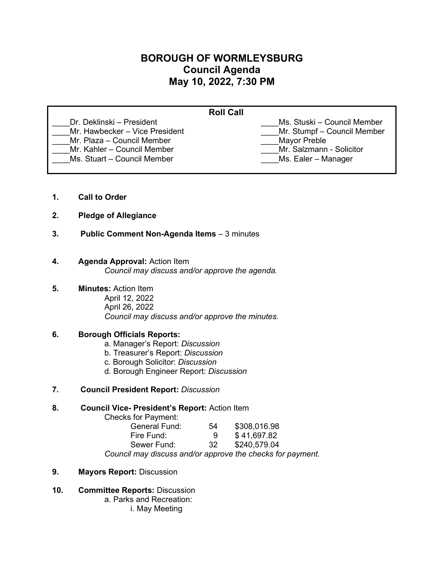# **BOROUGH OF WORMLEYSBURG Council Agenda May 10, 2022, 7:30 PM**

| <b>Roll Call</b>               |                             |  |
|--------------------------------|-----------------------------|--|
| Dr. Deklinski – President      | Ms. Stuski – Council Member |  |
| Mr. Hawbecker - Vice President | Mr. Stumpf - Council Member |  |
| Mr. Plaza – Council Member     | <b>Mayor Preble</b>         |  |
| Mr. Kahler - Council Member    | Mr. Salzmann - Solicitor    |  |
| Ms. Stuart - Council Member    | Ms. Ealer - Manager         |  |
|                                |                             |  |

- **1. Call to Order**
- **2. Pledge of Allegiance**
- **3. Public Comment Non-Agenda Items** 3 minutes

## **4. Agenda Approval:** Action Item

*Council may discuss and/or approve the agenda.*

# **5. Minutes:** Action Item

April 12, 2022 April 26, 2022 *Council may discuss and/or approve the minutes.* 

# **6. Borough Officials Reports:**

- a. Manager's Report: *Discussion*
- b. Treasurer's Report: *Discussion*
- c. Borough Solicitor: *Discussion*
- d. Borough Engineer Report: *Discussion*
- **7. Council President Report:** *Discussion*

#### **8. Council Vice- President's Report:** Action Item

Checks for Payment:

| General Fund:                                              | 54  | \$308,016.98 |  |
|------------------------------------------------------------|-----|--------------|--|
| Fire Fund:                                                 |     | \$41,697.82  |  |
| Sewer Fund:                                                | -32 | \$240,579.04 |  |
| Council may discuss and/or approve the checks for payment. |     |              |  |

- **9. Mayors Report:** Discussion
- **10. Committee Reports:** Discussion

a. Parks and Recreation:

i. May Meeting